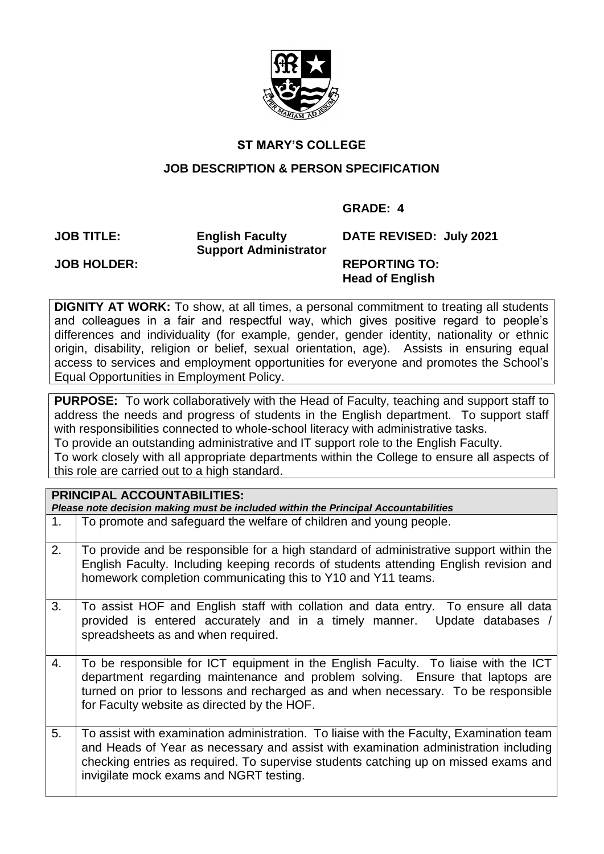

# **ST MARY'S COLLEGE**

### **JOB DESCRIPTION & PERSON SPECIFICATION**

### **GRADE: 4**

**JOB TITLE: English Faculty Support Administrator** **DATE REVISED: July 2021**

**JOB HOLDER: REPORTING TO: Head of English**

**DIGNITY AT WORK:** To show, at all times, a personal commitment to treating all students and colleagues in a fair and respectful way, which gives positive regard to people's differences and individuality (for example, gender, gender identity, nationality or ethnic origin, disability, religion or belief, sexual orientation, age). Assists in ensuring equal access to services and employment opportunities for everyone and promotes the School's Equal Opportunities in Employment Policy.

**PURPOSE:** To work collaboratively with the Head of Faculty, teaching and support staff to address the needs and progress of students in the English department. To support staff with responsibilities connected to whole-school literacy with administrative tasks. To provide an outstanding administrative and IT support role to the English Faculty. To work closely with all appropriate departments within the College to ensure all aspects of this role are carried out to a high standard.

| <b>PRINCIPAL ACCOUNTABILITIES:</b><br>Please note decision making must be included within the Principal Accountabilities |                                                                                                                                                                                                                                                                                                                  |  |  |  |
|--------------------------------------------------------------------------------------------------------------------------|------------------------------------------------------------------------------------------------------------------------------------------------------------------------------------------------------------------------------------------------------------------------------------------------------------------|--|--|--|
| 1.                                                                                                                       | To promote and safeguard the welfare of children and young people.                                                                                                                                                                                                                                               |  |  |  |
| 2.                                                                                                                       | To provide and be responsible for a high standard of administrative support within the<br>English Faculty. Including keeping records of students attending English revision and<br>homework completion communicating this to Y10 and Y11 teams.                                                                  |  |  |  |
| 3.                                                                                                                       | To assist HOF and English staff with collation and data entry. To ensure all data<br>provided is entered accurately and in a timely manner.<br>Update databases /<br>spreadsheets as and when required.                                                                                                          |  |  |  |
| 4.                                                                                                                       | To be responsible for ICT equipment in the English Faculty. To liaise with the ICT<br>department regarding maintenance and problem solving. Ensure that laptops are<br>turned on prior to lessons and recharged as and when necessary. To be responsible<br>for Faculty website as directed by the HOF.          |  |  |  |
| 5.                                                                                                                       | To assist with examination administration. To liaise with the Faculty, Examination team<br>and Heads of Year as necessary and assist with examination administration including<br>checking entries as required. To supervise students catching up on missed exams and<br>invigilate mock exams and NGRT testing. |  |  |  |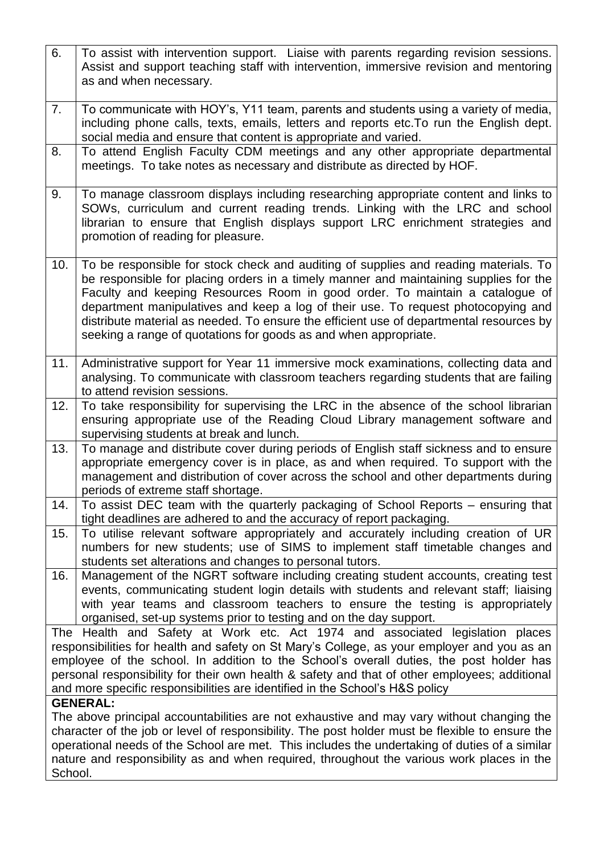| 6.                                                                                                                                                                                                                                                                                                                                                                                                                                                       | To assist with intervention support. Liaise with parents regarding revision sessions.<br>Assist and support teaching staff with intervention, immersive revision and mentoring<br>as and when necessary.                                                                                                                                                                                                                                                                                                          |  |  |  |  |
|----------------------------------------------------------------------------------------------------------------------------------------------------------------------------------------------------------------------------------------------------------------------------------------------------------------------------------------------------------------------------------------------------------------------------------------------------------|-------------------------------------------------------------------------------------------------------------------------------------------------------------------------------------------------------------------------------------------------------------------------------------------------------------------------------------------------------------------------------------------------------------------------------------------------------------------------------------------------------------------|--|--|--|--|
| 7.                                                                                                                                                                                                                                                                                                                                                                                                                                                       | To communicate with HOY's, Y11 team, parents and students using a variety of media,<br>including phone calls, texts, emails, letters and reports etc. To run the English dept.<br>social media and ensure that content is appropriate and varied.                                                                                                                                                                                                                                                                 |  |  |  |  |
| 8.                                                                                                                                                                                                                                                                                                                                                                                                                                                       | To attend English Faculty CDM meetings and any other appropriate departmental<br>meetings. To take notes as necessary and distribute as directed by HOF.                                                                                                                                                                                                                                                                                                                                                          |  |  |  |  |
| 9.                                                                                                                                                                                                                                                                                                                                                                                                                                                       | To manage classroom displays including researching appropriate content and links to<br>SOWs, curriculum and current reading trends. Linking with the LRC and school<br>librarian to ensure that English displays support LRC enrichment strategies and<br>promotion of reading for pleasure.                                                                                                                                                                                                                      |  |  |  |  |
| 10.                                                                                                                                                                                                                                                                                                                                                                                                                                                      | To be responsible for stock check and auditing of supplies and reading materials. To<br>be responsible for placing orders in a timely manner and maintaining supplies for the<br>Faculty and keeping Resources Room in good order. To maintain a catalogue of<br>department manipulatives and keep a log of their use. To request photocopying and<br>distribute material as needed. To ensure the efficient use of departmental resources by<br>seeking a range of quotations for goods as and when appropriate. |  |  |  |  |
| 11.                                                                                                                                                                                                                                                                                                                                                                                                                                                      | Administrative support for Year 11 immersive mock examinations, collecting data and<br>analysing. To communicate with classroom teachers regarding students that are failing<br>to attend revision sessions.                                                                                                                                                                                                                                                                                                      |  |  |  |  |
| 12.                                                                                                                                                                                                                                                                                                                                                                                                                                                      | To take responsibility for supervising the LRC in the absence of the school librarian<br>ensuring appropriate use of the Reading Cloud Library management software and<br>supervising students at break and lunch.                                                                                                                                                                                                                                                                                                |  |  |  |  |
| 13.                                                                                                                                                                                                                                                                                                                                                                                                                                                      | To manage and distribute cover during periods of English staff sickness and to ensure<br>appropriate emergency cover is in place, as and when required. To support with the<br>management and distribution of cover across the school and other departments during<br>periods of extreme staff shortage.                                                                                                                                                                                                          |  |  |  |  |
| 14.                                                                                                                                                                                                                                                                                                                                                                                                                                                      | To assist DEC team with the quarterly packaging of School Reports – ensuring that<br>tight deadlines are adhered to and the accuracy of report packaging.                                                                                                                                                                                                                                                                                                                                                         |  |  |  |  |
| 15.                                                                                                                                                                                                                                                                                                                                                                                                                                                      | To utilise relevant software appropriately and accurately including creation of UR<br>numbers for new students; use of SIMS to implement staff timetable changes and<br>students set alterations and changes to personal tutors.                                                                                                                                                                                                                                                                                  |  |  |  |  |
| 16.                                                                                                                                                                                                                                                                                                                                                                                                                                                      | Management of the NGRT software including creating student accounts, creating test<br>events, communicating student login details with students and relevant staff; liaising<br>with year teams and classroom teachers to ensure the testing is appropriately<br>organised, set-up systems prior to testing and on the day support.                                                                                                                                                                               |  |  |  |  |
| The Health and Safety at Work etc. Act 1974 and associated legislation places<br>responsibilities for health and safety on St Mary's College, as your employer and you as an<br>employee of the school. In addition to the School's overall duties, the post holder has<br>personal responsibility for their own health & safety and that of other employees; additional<br>and more specific responsibilities are identified in the School's H&S policy |                                                                                                                                                                                                                                                                                                                                                                                                                                                                                                                   |  |  |  |  |
| School.                                                                                                                                                                                                                                                                                                                                                                                                                                                  | <b>GENERAL:</b><br>The above principal accountabilities are not exhaustive and may vary without changing the<br>character of the job or level of responsibility. The post holder must be flexible to ensure the<br>operational needs of the School are met. This includes the undertaking of duties of a similar<br>nature and responsibility as and when required, throughout the various work places in the                                                                                                     |  |  |  |  |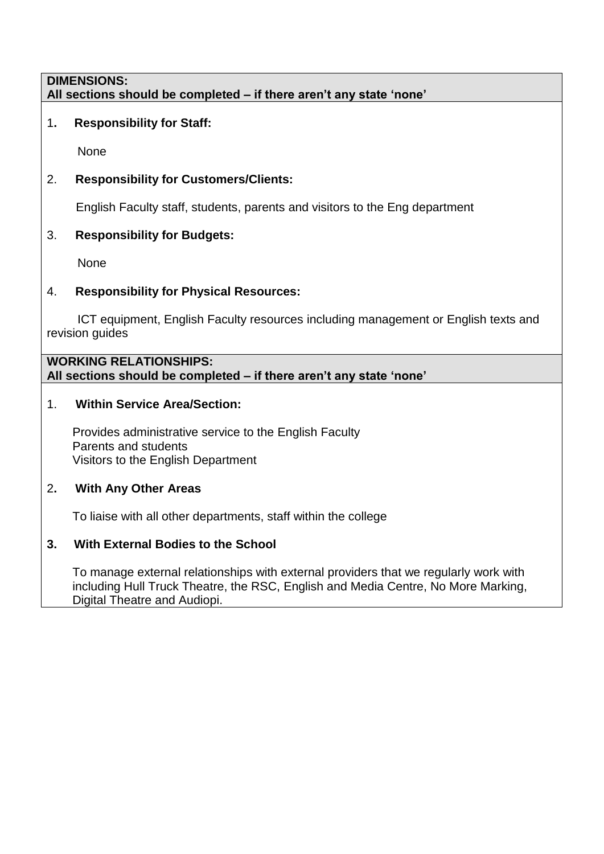#### **DIMENSIONS: All sections should be completed – if there aren't any state 'none'**

# 1**. Responsibility for Staff:**

None

# 2. **Responsibility for Customers/Clients:**

English Faculty staff, students, parents and visitors to the Eng department

# 3. **Responsibility for Budgets:**

None

# 4. **Responsibility for Physical Resources:**

 ICT equipment, English Faculty resources including management or English texts and revision guides

### **WORKING RELATIONSHIPS: All sections should be completed – if there aren't any state 'none'**

# 1. **Within Service Area/Section:**

Provides administrative service to the English Faculty Parents and students Visitors to the English Department

# 2**. With Any Other Areas**

To liaise with all other departments, staff within the college

# **3. With External Bodies to the School**

To manage external relationships with external providers that we regularly work with including Hull Truck Theatre, the RSC, English and Media Centre, No More Marking, Digital Theatre and Audiopi.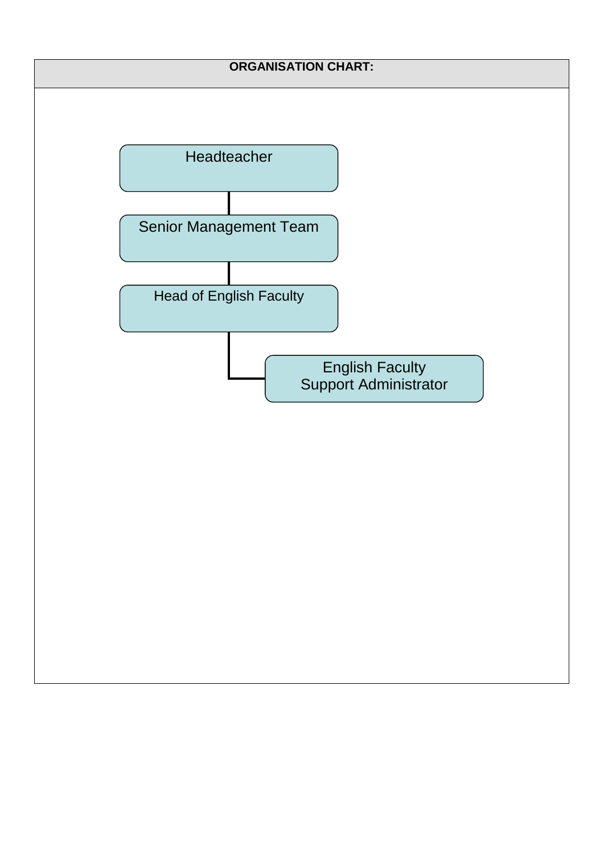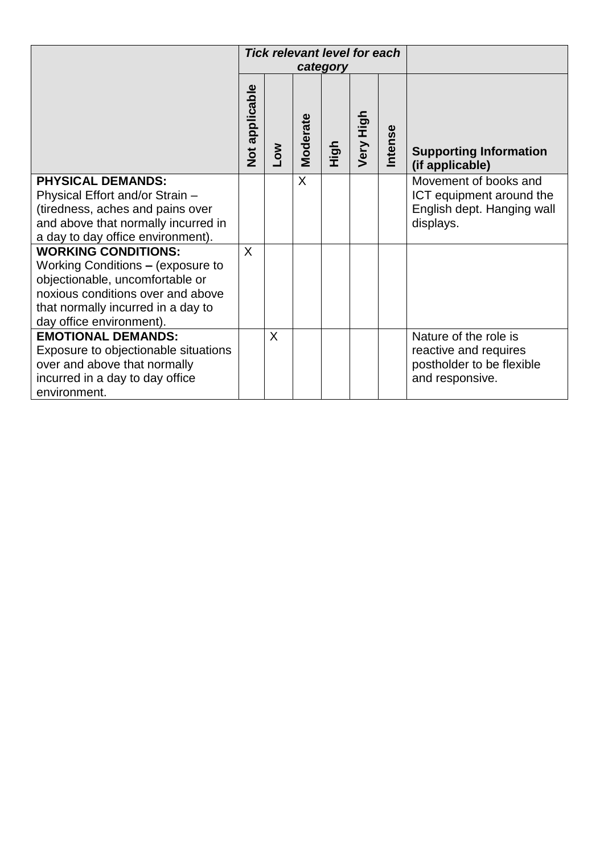|                                                                                                                                                                                                           | <b>Tick relevant level for each</b><br>category |                 |                 |      |           |         |                                                                                                |
|-----------------------------------------------------------------------------------------------------------------------------------------------------------------------------------------------------------|-------------------------------------------------|-----------------|-----------------|------|-----------|---------|------------------------------------------------------------------------------------------------|
|                                                                                                                                                                                                           | Not applicable                                  | NO <sub>-</sub> | <b>Moderate</b> | High | Very High | Intense | <b>Supporting Information</b><br>(if applicable)                                               |
| <b>PHYSICAL DEMANDS:</b><br>Physical Effort and/or Strain -<br>(tiredness, aches and pains over<br>and above that normally incurred in<br>a day to day office environment).                               |                                                 |                 | X               |      |           |         | Movement of books and<br>ICT equipment around the<br>English dept. Hanging wall<br>displays.   |
| <b>WORKING CONDITIONS:</b><br>Working Conditions - (exposure to<br>objectionable, uncomfortable or<br>noxious conditions over and above<br>that normally incurred in a day to<br>day office environment). | $\mathsf{X}$                                    |                 |                 |      |           |         |                                                                                                |
| <b>EMOTIONAL DEMANDS:</b><br>Exposure to objectionable situations<br>over and above that normally<br>incurred in a day to day office<br>environment.                                                      |                                                 | X               |                 |      |           |         | Nature of the role is<br>reactive and requires<br>postholder to be flexible<br>and responsive. |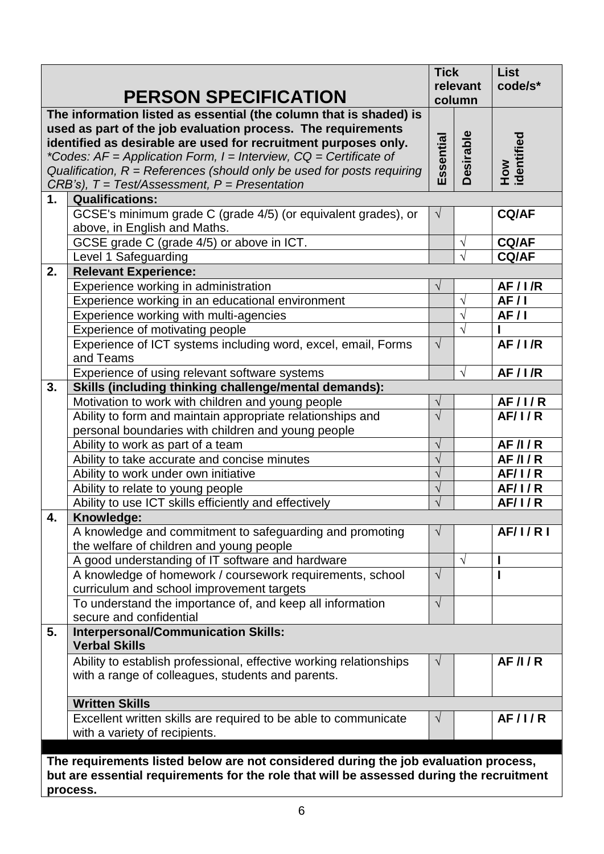|                                                                                                                                                                                             |                                                                                                                                                                                                                                                                                                                                                                                                                      | <b>Tick</b><br>relevant |                  | <b>List</b><br>code/s* |  |  |
|---------------------------------------------------------------------------------------------------------------------------------------------------------------------------------------------|----------------------------------------------------------------------------------------------------------------------------------------------------------------------------------------------------------------------------------------------------------------------------------------------------------------------------------------------------------------------------------------------------------------------|-------------------------|------------------|------------------------|--|--|
|                                                                                                                                                                                             | <b>PERSON SPECIFICATION</b>                                                                                                                                                                                                                                                                                                                                                                                          |                         | column           |                        |  |  |
|                                                                                                                                                                                             | The information listed as essential (the column that is shaded) is<br>used as part of the job evaluation process. The requirements<br>identified as desirable are used for recruitment purposes only.<br>*Codes: $AF = Application Form$ , $I = Interview$ , $CQ = Certificance$ of<br>Qualification, $R =$ References (should only be used for posts requiring<br>$CRB's$ , $T = Test/Assessment, P = Presentation$ | Essential               | <b>Desirable</b> | How<br>identified      |  |  |
| 1.                                                                                                                                                                                          | <b>Qualifications:</b>                                                                                                                                                                                                                                                                                                                                                                                               |                         |                  |                        |  |  |
|                                                                                                                                                                                             | GCSE's minimum grade C (grade 4/5) (or equivalent grades), or<br>above, in English and Maths.                                                                                                                                                                                                                                                                                                                        | $\sqrt{ }$              |                  | <b>CQ/AF</b>           |  |  |
|                                                                                                                                                                                             | GCSE grade C (grade 4/5) or above in ICT.                                                                                                                                                                                                                                                                                                                                                                            |                         | $\sqrt{}$        | <b>CQ/AF</b>           |  |  |
|                                                                                                                                                                                             | Level 1 Safeguarding                                                                                                                                                                                                                                                                                                                                                                                                 |                         | $\sqrt{ }$       | <b>CQ/AF</b>           |  |  |
| 2.                                                                                                                                                                                          | <b>Relevant Experience:</b>                                                                                                                                                                                                                                                                                                                                                                                          |                         |                  |                        |  |  |
|                                                                                                                                                                                             | Experience working in administration                                                                                                                                                                                                                                                                                                                                                                                 | $\sqrt{ }$              |                  | AF/IR                  |  |  |
|                                                                                                                                                                                             | Experience working in an educational environment                                                                                                                                                                                                                                                                                                                                                                     |                         | $\sqrt{}$        | AF/1                   |  |  |
|                                                                                                                                                                                             | Experience working with multi-agencies                                                                                                                                                                                                                                                                                                                                                                               |                         | $\sqrt{}$        | AF/I                   |  |  |
|                                                                                                                                                                                             | Experience of motivating people                                                                                                                                                                                                                                                                                                                                                                                      |                         | $\sqrt{}$        |                        |  |  |
|                                                                                                                                                                                             | Experience of ICT systems including word, excel, email, Forms<br>and Teams                                                                                                                                                                                                                                                                                                                                           | $\sqrt{ }$              |                  | AF/IR                  |  |  |
|                                                                                                                                                                                             | Experience of using relevant software systems                                                                                                                                                                                                                                                                                                                                                                        |                         | $\sqrt{ }$       | AF/IR                  |  |  |
| 3.                                                                                                                                                                                          | Skills (including thinking challenge/mental demands):                                                                                                                                                                                                                                                                                                                                                                |                         |                  |                        |  |  |
|                                                                                                                                                                                             | Motivation to work with children and young people                                                                                                                                                                                                                                                                                                                                                                    | $\sqrt{}$               |                  | <b>AF/I/R</b>          |  |  |
|                                                                                                                                                                                             | Ability to form and maintain appropriate relationships and<br>personal boundaries with children and young people                                                                                                                                                                                                                                                                                                     | $\sqrt{}$               |                  | AF/1/R                 |  |  |
|                                                                                                                                                                                             | Ability to work as part of a team                                                                                                                                                                                                                                                                                                                                                                                    | $\sqrt{ }$              |                  | AF/1/R                 |  |  |
|                                                                                                                                                                                             | Ability to take accurate and concise minutes                                                                                                                                                                                                                                                                                                                                                                         | $\sqrt{}$               |                  | AF/1/R                 |  |  |
|                                                                                                                                                                                             | Ability to work under own initiative                                                                                                                                                                                                                                                                                                                                                                                 | $\sqrt{}$               |                  | <b>AF/1/R</b>          |  |  |
|                                                                                                                                                                                             | Ability to relate to young people                                                                                                                                                                                                                                                                                                                                                                                    | $\sqrt{}$               |                  | <b>AF/1/R</b>          |  |  |
|                                                                                                                                                                                             | Ability to use ICT skills efficiently and effectively                                                                                                                                                                                                                                                                                                                                                                | $\sqrt{}$               |                  | AF/1/R                 |  |  |
| 4.                                                                                                                                                                                          | Knowledge:                                                                                                                                                                                                                                                                                                                                                                                                           |                         |                  |                        |  |  |
|                                                                                                                                                                                             | A knowledge and commitment to safeguarding and promoting<br>the welfare of children and young people                                                                                                                                                                                                                                                                                                                 | $\sqrt{}$               |                  | <b>AF/1/R1</b>         |  |  |
|                                                                                                                                                                                             | A good understanding of IT software and hardware                                                                                                                                                                                                                                                                                                                                                                     |                         |                  |                        |  |  |
|                                                                                                                                                                                             | A knowledge of homework / coursework requirements, school<br>curriculum and school improvement targets                                                                                                                                                                                                                                                                                                               | $\sqrt{ }$              |                  |                        |  |  |
|                                                                                                                                                                                             | To understand the importance of, and keep all information<br>secure and confidential                                                                                                                                                                                                                                                                                                                                 | $\sqrt{ }$              |                  |                        |  |  |
| 5.                                                                                                                                                                                          | <b>Interpersonal/Communication Skills:</b><br><b>Verbal Skills</b>                                                                                                                                                                                                                                                                                                                                                   |                         |                  |                        |  |  |
|                                                                                                                                                                                             | Ability to establish professional, effective working relationships<br>with a range of colleagues, students and parents.                                                                                                                                                                                                                                                                                              | $\sqrt{ }$              |                  | AF/1/R                 |  |  |
|                                                                                                                                                                                             | <b>Written Skills</b>                                                                                                                                                                                                                                                                                                                                                                                                |                         |                  |                        |  |  |
|                                                                                                                                                                                             | Excellent written skills are required to be able to communicate                                                                                                                                                                                                                                                                                                                                                      | $\sqrt{ }$              |                  | <b>AF/I/R</b>          |  |  |
|                                                                                                                                                                                             | with a variety of recipients.                                                                                                                                                                                                                                                                                                                                                                                        |                         |                  |                        |  |  |
| The requirements listed below are not considered during the job evaluation process,<br>but are essential requirements for the role that will be assessed during the recruitment<br>process. |                                                                                                                                                                                                                                                                                                                                                                                                                      |                         |                  |                        |  |  |